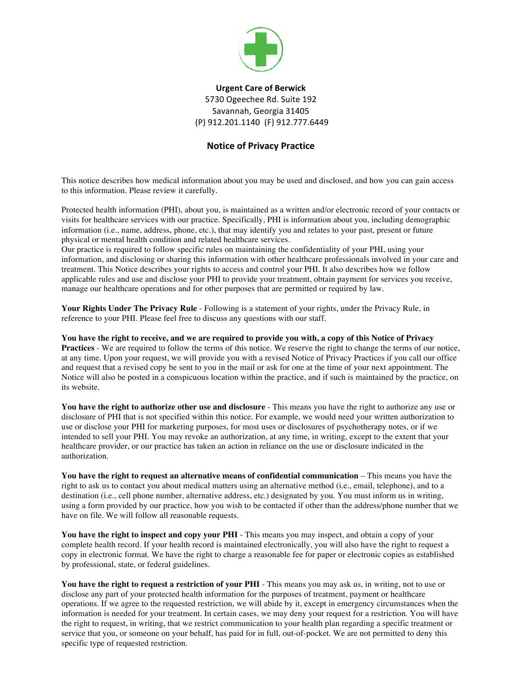

## **Urgent Care of Berwick** 5730 Ogeechee Rd. Suite 192 Savannah, Georgia 31405 (P) 912.201.1140 (F) 912.777.6449

## **Notice of Privacy Practice**

This notice describes how medical information about you may be used and disclosed, and how you can gain access to this information. Please review it carefully.

Protected health information (PHI), about you, is maintained as a written and/or electronic record of your contacts or visits for healthcare services with our practice. Specifically, PHI is information about you, including demographic information (i.e., name, address, phone, etc.), that may identify you and relates to your past, present or future physical or mental health condition and related healthcare services.

Our practice is required to follow specific rules on maintaining the confidentiality of your PHI, using your information, and disclosing or sharing this information with other healthcare professionals involved in your care and treatment. This Notice describes your rights to access and control your PHI. It also describes how we follow applicable rules and use and disclose your PHI to provide your treatment, obtain payment for services you receive, manage our healthcare operations and for other purposes that are permitted or required by law.

**Your Rights Under The Privacy Rule** - Following is a statement of your rights, under the Privacy Rule, in reference to your PHI. Please feel free to discuss any questions with our staff.

**You have the right to receive, and we are required to provide you with, a copy of this Notice of Privacy Practices** - We are required to follow the terms of this notice. We reserve the right to change the terms of our notice, at any time. Upon your request, we will provide you with a revised Notice of Privacy Practices if you call our office and request that a revised copy be sent to you in the mail or ask for one at the time of your next appointment. The Notice will also be posted in a conspicuous location within the practice, and if such is maintained by the practice, on its website.

**You have the right to authorize other use and disclosure** - This means you have the right to authorize any use or disclosure of PHI that is not specified within this notice. For example, we would need your written authorization to use or disclose your PHI for marketing purposes, for most uses or disclosures of psychotherapy notes, or if we intended to sell your PHI. You may revoke an authorization, at any time, in writing, except to the extent that your healthcare provider, or our practice has taken an action in reliance on the use or disclosure indicated in the authorization.

**You have the right to request an alternative means of confidential communication** – This means you have the right to ask us to contact you about medical matters using an alternative method (i.e., email, telephone), and to a destination (i.e., cell phone number, alternative address, etc.) designated by you. You must inform us in writing, using a form provided by our practice, how you wish to be contacted if other than the address/phone number that we have on file. We will follow all reasonable requests.

**You have the right to inspect and copy your PHI** - This means you may inspect, and obtain a copy of your complete health record. If your health record is maintained electronically, you will also have the right to request a copy in electronic format. We have the right to charge a reasonable fee for paper or electronic copies as established by professional, state, or federal guidelines.

**You have the right to request a restriction of your PHI** - This means you may ask us, in writing, not to use or disclose any part of your protected health information for the purposes of treatment, payment or healthcare operations. If we agree to the requested restriction, we will abide by it, except in emergency circumstances when the information is needed for your treatment. In certain cases, we may deny your request for a restriction. You will have the right to request, in writing, that we restrict communication to your health plan regarding a specific treatment or service that you, or someone on your behalf, has paid for in full, out-of-pocket. We are not permitted to deny this specific type of requested restriction.